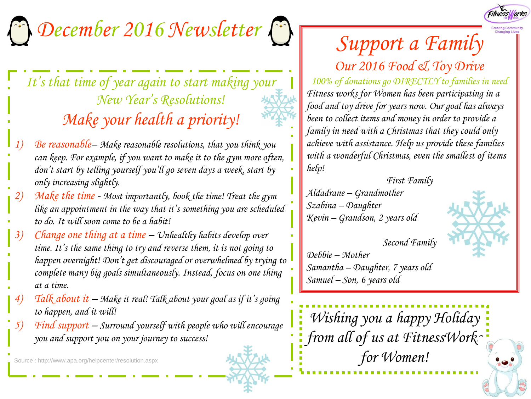

## *December 2016 Newsletter*

## *It's that time of year again to start making your New Year's Resolutions! Make your health a priority!*

- *1) Be reasonable– Make reasonable resolutions, that you think you can keep. For example, if you want to make it to the gym more often, don't start by telling yourself you'll go seven days a week, start by only increasing slightly.*
- *2) Make the time - Most importantly, book the time! Treat the gym like an appointment in the way that it's something you are scheduled to do. It will soon come to be a habit!*
- *3) Change one thing at a time – Unhealthy habits develop over time. It's the same thing to try and reverse them, it is not going to happen overnight! Don't get discouraged or overwhelmed by trying to complete many big goals simultaneously. Instead, focus on one thing at a time.*
- *4) Talk about it – Make it real! Talk about your goal as if it's going to happen, and it will!*
- *5) Find support – Surround yourself with people who will encourage you and support you on your journey to success!*

Source : http://www.apa.org/helpcenter/resolution.aspx

## *Support a Family*

*Our 2016 Food & Toy Drive 100% of donations go DIRECTLY to families in need Fitness works for Women has been participating in a food and toy drive for years now. Our goal has always been to collect items and money in order to provide a family in need with a Christmas that they could only achieve with assistance. Help us provide these families with a wonderful Christmas, even the smallest of items help!*

*First Family Aldadrane – Grandmother Szabina – Daughter Kevin – Grandson, 2 years old*



*Second Family Debbie – Mother Samantha – Daughter, 7 years old Samuel – Son, 6 years old*

*Wishing you a happy Holiday from all of us at FitnessWorks for Women!*